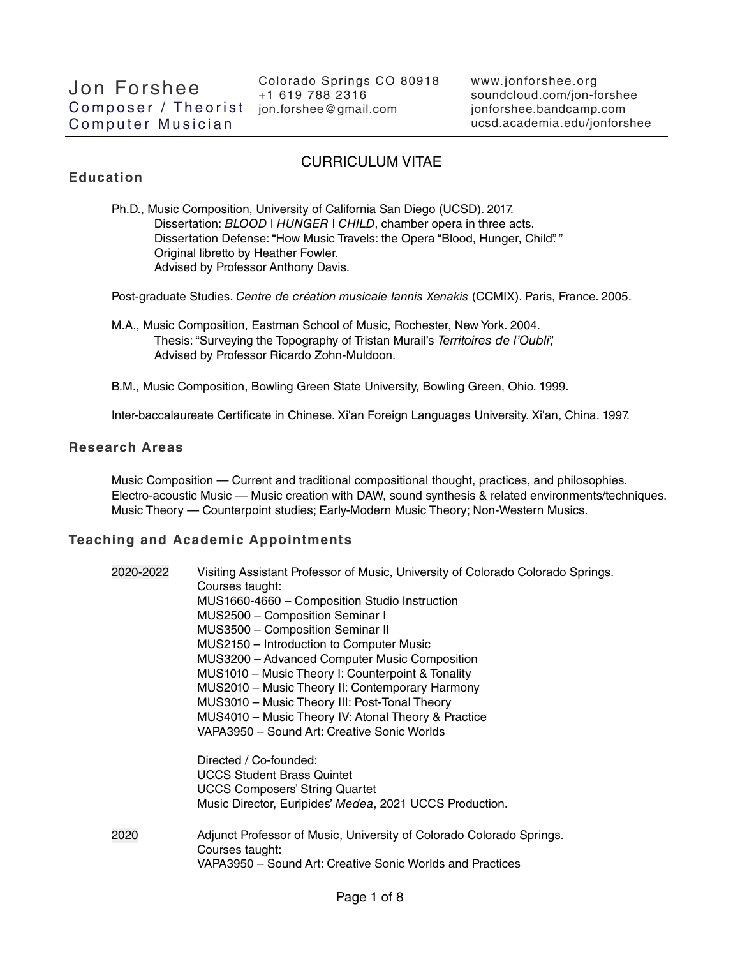# CURRICULUM VITAE

## **Education**

Ph.D., Music Composition, University of California San Diego (UCSD). 2017. Dissertation: BLOOD | HUNGER | CHILD, chamber opera in three acts. Dissertation Defense: "How Music Travels: the Opera "Blood, Hunger, Child". " Original libretto by Heather Fowler. Advised by Professor Anthony Davis.

Post-graduate Studies. Centre de création musicale Iannis Xenakis (CCMIX). Paris, France. 2005.

- M.A., Music Composition, Eastman School of Music, Rochester, New York. 2004. Thesis: "Surveying the Topography of Tristan Murail's Territoires de l'Oubli", Advised by Professor Ricardo Zohn-Muldoon.
- B.M., Music Composition, Bowling Green State University, Bowling Green, Ohio. 1999.

Inter-baccalaureate Certificate in Chinese. Xi'an Foreign Languages University. Xi'an, China. 1997.

### **Research Areas**

Music Composition — Current and traditional compositional thought, practices, and philosophies. Electro-acoustic Music — Music creation with DAW, sound synthesis & related environments/techniques. Music Theory — Counterpoint studies; Early-Modern Music Theory; Non-Western Musics.

### **Teaching and Academic Appointments**

| 2020-2022 | Visiting Assistant Professor of Music, University of Colorado Colorado Springs.<br>Courses taught:<br>MUS1660-4660 - Composition Studio Instruction<br>MUS2500 - Composition Seminar I<br>MUS3500 - Composition Seminar II<br>MUS2150 - Introduction to Computer Music<br>MUS3200 - Advanced Computer Music Composition<br>MUS1010 - Music Theory I: Counterpoint & Tonality<br>MUS2010 - Music Theory II: Contemporary Harmony<br>MUS3010 - Music Theory III: Post-Tonal Theory<br>MUS4010 - Music Theory IV: Atonal Theory & Practice<br>VAPA3950 - Sound Art: Creative Sonic Worlds |
|-----------|----------------------------------------------------------------------------------------------------------------------------------------------------------------------------------------------------------------------------------------------------------------------------------------------------------------------------------------------------------------------------------------------------------------------------------------------------------------------------------------------------------------------------------------------------------------------------------------|
|           | Directed / Co-founded:<br><b>UCCS Student Brass Quintet</b><br><b>UCCS Composers' String Quartet</b><br>Music Director, Euripides' Medea, 2021 UCCS Production.                                                                                                                                                                                                                                                                                                                                                                                                                        |
| 2020      | Adjunct Professor of Music, University of Colorado Colorado Springs.<br>Courses taught:<br>VAPA3950 - Sound Art: Creative Sonic Worlds and Practices                                                                                                                                                                                                                                                                                                                                                                                                                                   |
|           |                                                                                                                                                                                                                                                                                                                                                                                                                                                                                                                                                                                        |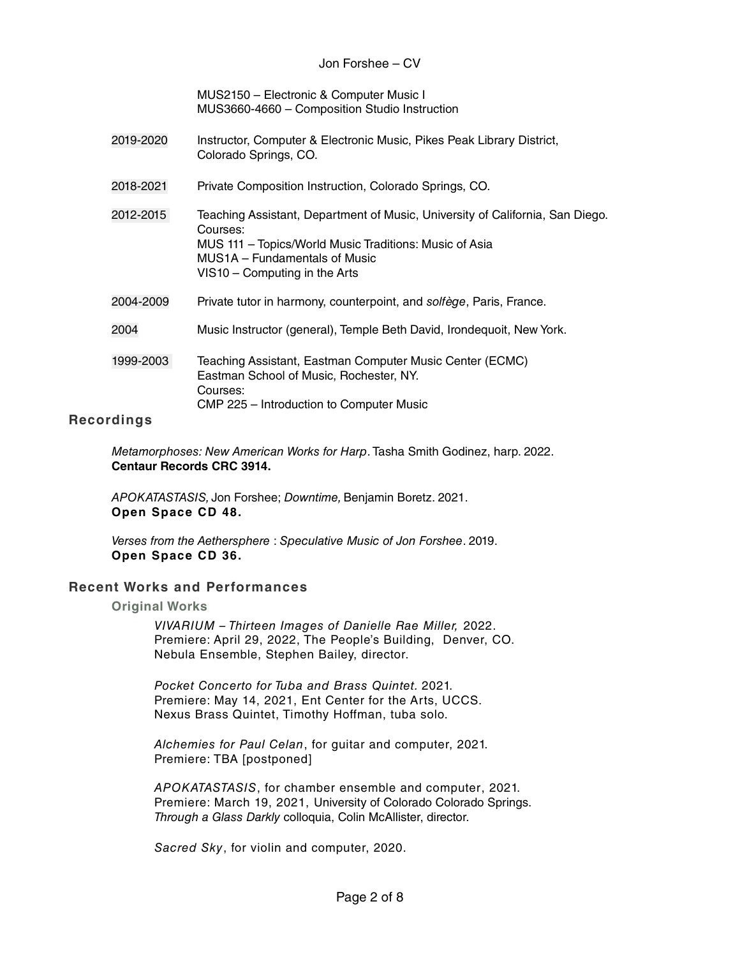Jon Forshee – CV

MUS2150 – Electronic & Computer Music I MUS3660-4660 – Composition Studio Instruction

- 2019-2020 Instructor, Computer & Electronic Music, Pikes Peak Library District, Colorado Springs, CO.
- 2018-2021 Private Composition Instruction, Colorado Springs, CO.
- 2012-2015 Teaching Assistant, Department of Music, University of California, San Diego. Courses: MUS 111 – Topics/World Music Traditions: Music of Asia MUS1A – Fundamentals of Music VIS10 – Computing in the Arts
- 2004-2009 Private tutor in harmony, counterpoint, and solfège, Paris, France.
- 2004 Music Instructor (general), Temple Beth David, Irondequoit, New York.
- 1999-2003 Teaching Assistant, Eastman Computer Music Center (ECMC) Eastman School of Music, Rochester, NY. Courses: CMP 225 – Introduction to Computer Music

## **Recordings**

Metamorphoses: New American Works for Harp. Tasha Smith Godinez, harp. 2022. **Centaur Records CRC 3914.**

APOKATASTASIS, Jon Forshee; Downtime, Benjamin Boretz. 2021. **Open Space CD 48.**

Verses from the Aethersphere : Speculative Music of Jon Forshee. 2019. **Open Space CD 36.**

### **Recent Works and Performances**

**Original Works**

VIVARIUM – Thirteen Images of Danielle Rae Miller, 2022. Premiere: April 29, 2022, The People's Building, Denver, CO. Nebula Ensemble, Stephen Bailey, director.

Pocket Concerto for Tuba and Brass Quintet. 2021. Premiere: May 14, 2021, Ent Center for the Arts, UCCS. Nexus Brass Quintet, Timothy Hoffman, tuba solo.

Alchemies for Paul Celan, for guitar and computer, 2021. Premiere: TBA [postponed]

APOKATASTASIS, for chamber ensemble and computer, 2021. Premiere: March 19, 2021, University of Colorado Colorado Springs. Through a Glass Darkly colloquia, Colin McAllister, director.

Sacred Sky, for violin and computer, 2020.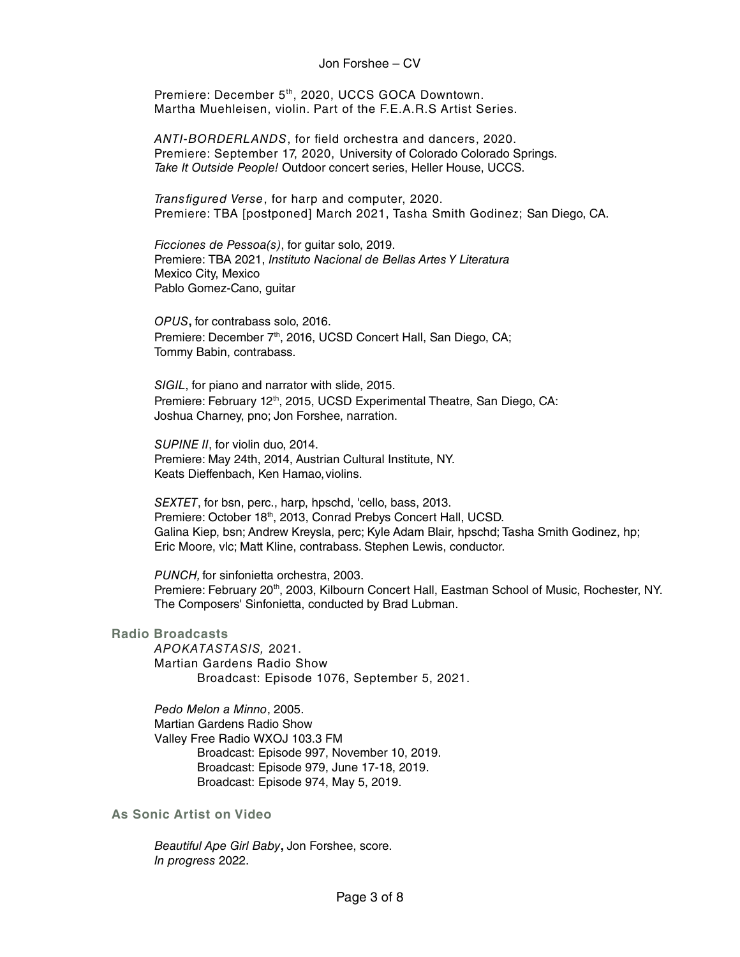Jon Forshee – CV

Premiere: December 5<sup>th</sup>, 2020, UCCS GOCA Downtown. Martha Muehleisen, violin. Part of the F.E.A.R.S Artist Series.

ANTI-BORDERLANDS, for field orchestra and dancers, 2020. Premiere: September 17, 2020, University of Colorado Colorado Springs. Take It Outside People! Outdoor concert series, Heller House, UCCS.

Transfigured Verse, for harp and computer, 2020. Premiere: TBA [postponed] March 2021, Tasha Smith Godinez; San Diego, CA.

Ficciones de Pessoa(s), for guitar solo, 2019. Premiere: TBA 2021, Instituto Nacional de Bellas Artes Y Literatura Mexico City, Mexico Pablo Gomez-Cano, guitar

OPUS**,** for contrabass solo, 2016. Premiere: December 7<sup>th</sup>, 2016, UCSD Concert Hall, San Diego, CA; Tommy Babin, contrabass.

SIGIL, for piano and narrator with slide, 2015. Premiere: February 12<sup>th</sup>, 2015, UCSD Experimental Theatre, San Diego, CA: Joshua Charney, pno; Jon Forshee, narration.

SUPINE II, for violin duo, 2014. Premiere: May 24th, 2014, Austrian Cultural Institute, NY. Keats Dieffenbach, Ken Hamao, violins.

SEXTET, for bsn, perc., harp, hpschd, 'cello, bass, 2013. Premiere: October 18<sup>th</sup>, 2013, Conrad Prebys Concert Hall, UCSD. Galina Kiep, bsn; Andrew Kreysla, perc; Kyle Adam Blair, hpschd; Tasha Smith Godinez, hp; Eric Moore, vlc; Matt Kline, contrabass. Stephen Lewis, conductor.

PUNCH, for sinfonietta orchestra, 2003. Premiere: February 20<sup>th</sup>, 2003, Kilbourn Concert Hall, Eastman School of Music, Rochester, NY. The Composers' Sinfonietta, conducted by Brad Lubman.

#### **Radio Broadcasts**

APOKATASTASIS, 2021. Martian Gardens Radio Show Broadcast: Episode 1076, September 5, 2021.

Pedo Melon a Minno, 2005. Martian Gardens Radio Show Valley Free Radio WXOJ 103.3 FM Broadcast: Episode 997, November 10, 2019. Broadcast: Episode 979, June 17-18, 2019. Broadcast: Episode 974, May 5, 2019.

**As Sonic Artist on Video**

Beautiful Ape Girl Baby**,** Jon Forshee, score. In progress 2022.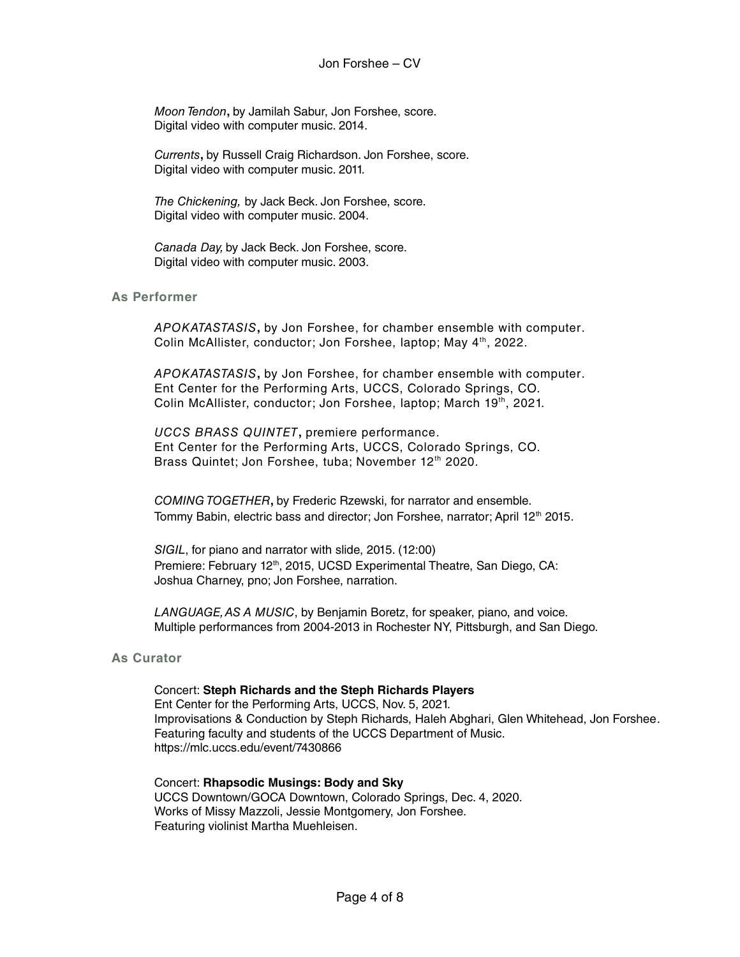Moon Tendon**,** by Jamilah Sabur, Jon Forshee, score. Digital video with computer music. 2014.

Currents**,** by Russell Craig Richardson. Jon Forshee, score. Digital video with computer music. 2011.

The Chickening, by Jack Beck. Jon Forshee, score. Digital video with computer music. 2004.

Canada Day, by Jack Beck. Jon Forshee, score. Digital video with computer music. 2003.

#### **As Performer**

APOKATASTASIS**,** by Jon Forshee, for chamber ensemble with computer. Colin McAllister, conductor; Jon Forshee, laptop; May 4<sup>th</sup>, 2022.

APOKATASTASIS**,** by Jon Forshee, for chamber ensemble with computer. Ent Center for the Performing Arts, UCCS, Colorado Springs, CO. Colin McAllister, conductor; Jon Forshee, laptop; March 19<sup>th</sup>, 2021.

UCCS BRASS QUINTET**,** premiere performance. Ent Center for the Performing Arts, UCCS, Colorado Springs, CO. Brass Quintet; Jon Forshee, tuba; November 12<sup>th</sup> 2020.

COMING TOGETHER**,** by Frederic Rzewski, for narrator and ensemble. Tommy Babin, electric bass and director; Jon Forshee, narrator; April 12<sup>th</sup> 2015.

SIGIL, for piano and narrator with slide, 2015. (12:00) Premiere: February 12<sup>th</sup>, 2015, UCSD Experimental Theatre, San Diego, CA: Joshua Charney, pno; Jon Forshee, narration.

LANGUAGE, AS A MUSIC, by Benjamin Boretz, for speaker, piano, and voice. Multiple performances from 2004-2013 in Rochester NY, Pittsburgh, and San Diego.

#### **As Curator**

#### Concert: **Steph Richards and the Steph Richards Players**

Ent Center for the Performing Arts, UCCS, Nov. 5, 2021. Improvisations & Conduction by Steph Richards, Haleh Abghari, Glen Whitehead, Jon Forshee. Featuring faculty and students of the UCCS Department of Music. https://mlc.uccs.edu/event/7430866

Concert: **Rhapsodic Musings: Body and Sky** UCCS Downtown/GOCA Downtown, Colorado Springs, Dec. 4, 2020. Works of Missy Mazzoli, Jessie Montgomery, Jon Forshee. Featuring violinist Martha Muehleisen.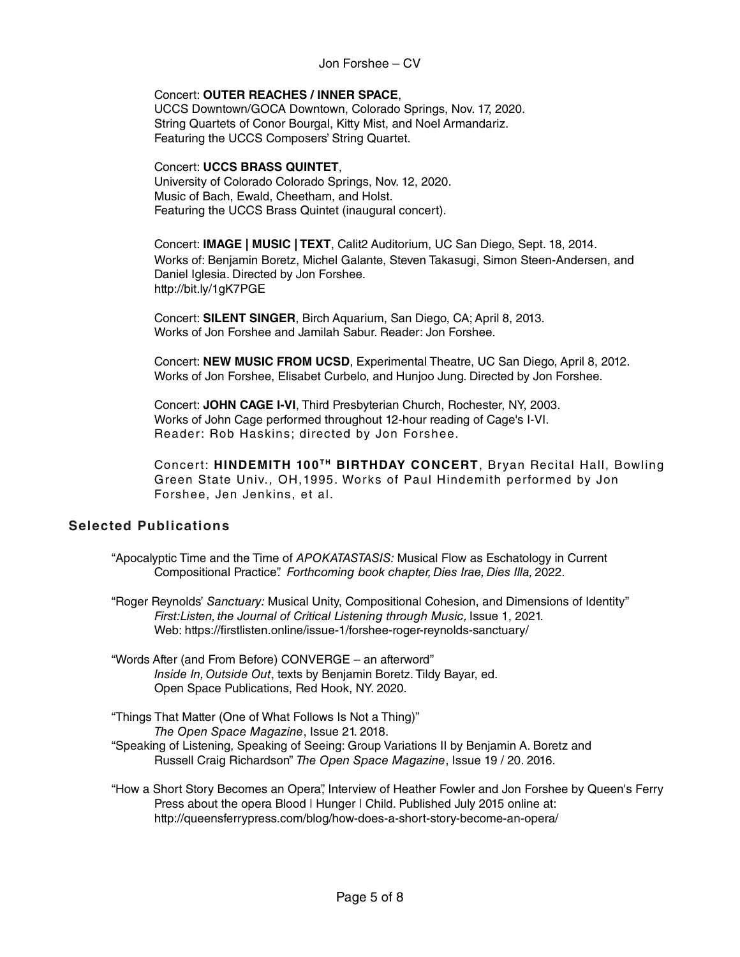Jon Forshee – CV

#### Concert: **OUTER REACHES / INNER SPACE**,

UCCS Downtown/GOCA Downtown, Colorado Springs, Nov. 17, 2020. String Quartets of Conor Bourgal, Kitty Mist, and Noel Armandariz. Featuring the UCCS Composers' String Quartet.

#### Concert: **UCCS BRASS QUINTET**,

University of Colorado Colorado Springs, Nov. 12, 2020. Music of Bach, Ewald, Cheetham, and Holst. Featuring the UCCS Brass Quintet (inaugural concert).

Concert: **IMAGE | MUSIC | TEXT**, Calit2 Auditorium, UC San Diego, Sept. 18, 2014. Works of: Benjamin Boretz, Michel Galante, Steven Takasugi, Simon Steen-Andersen, and Daniel Iglesia. Directed by Jon Forshee. http://bit.ly/1gK7PGE

Concert: **SILENT SINGER**, Birch Aquarium, San Diego, CA; April 8, 2013. Works of Jon Forshee and Jamilah Sabur. Reader: Jon Forshee.

Concert: **NEW MUSIC FROM UCSD**, Experimental Theatre, UC San Diego, April 8, 2012. Works of Jon Forshee, Elisabet Curbelo, and Hunjoo Jung. Directed by Jon Forshee.

Concert: **JOHN CAGE I-VI**, Third Presbyterian Church, Rochester, NY, 2003. Works of John Cage performed throughout 12-hour reading of Cage's I-VI. Reader: Rob Haskins; directed by Jon Forshee.

Concert: HINDEMITH 100<sup>TH</sup> BIRTHDAY CONCERT, Bryan Recital Hall, Bowling Green State Univ., OH,1995. Works of Paul Hindemith performed by Jon Forshee, Jen Jenkins, et al.

# **Selected Publications**

- "Apocalyptic Time and the Time of APOKATASTASIS: Musical Flow as Eschatology in Current Compositional Practice". Forthcoming book chapter, Dies Irae, Dies Illa, 2022.
- "Roger Reynolds' Sanctuary: Musical Unity, Compositional Cohesion, and Dimensions of Identity" First:Listen, the Journal of Critical Listening through Music, Issue 1, 2021. Web: https://firstlisten.online/issue-1/forshee-roger-reynolds-sanctuary/
- "Words After (and From Before) CONVERGE an afterword" Inside In, Outside Out, texts by Benjamin Boretz. Tildy Bayar, ed. Open Space Publications, Red Hook, NY. 2020.
- "Things That Matter (One of What Follows Is Not a Thing)" The Open Space Magazine, Issue 21. 2018. "Speaking of Listening, Speaking of Seeing: Group Variations II by Benjamin A. Boretz and Russell Craig Richardson" The Open Space Magazine, Issue 19 / 20. 2016.
- "How a Short Story Becomes an Opera", Interview of Heather Fowler and Jon Forshee by Queen's Ferry Press about the opera Blood | Hunger | Child. Published July 2015 online at: http://queensferrypress.com/blog/how-does-a-short-story-become-an-opera/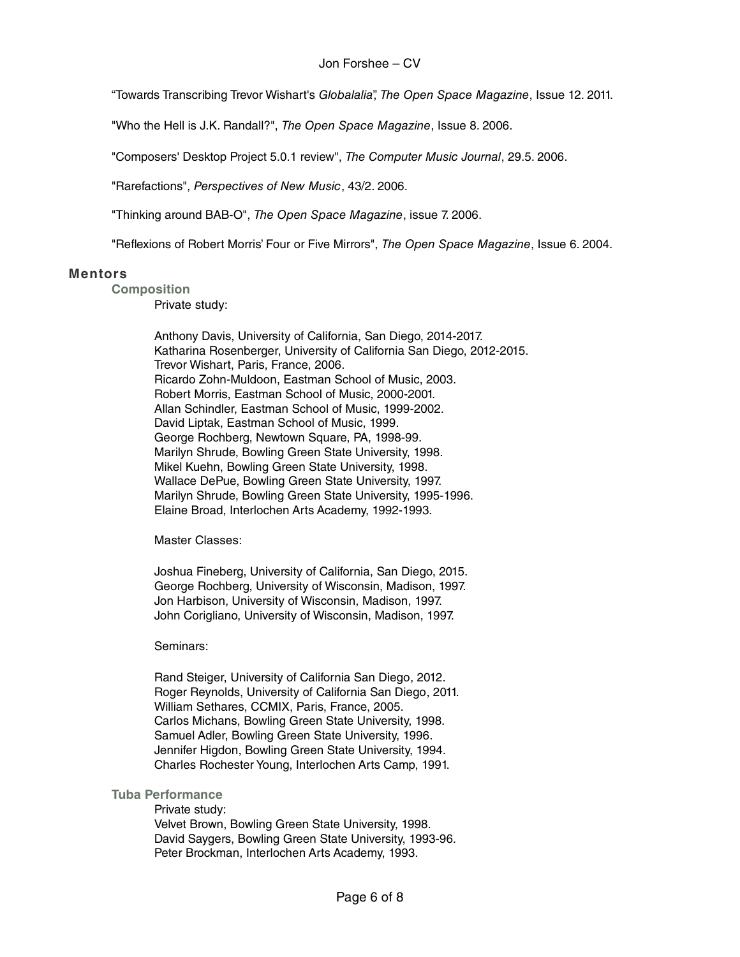"Towards Transcribing Trevor Wishart's Globalalia", The Open Space Magazine, Issue 12. 2011.

"Who the Hell is J.K. Randall?", The Open Space Magazine, Issue 8. 2006.

"Composers' Desktop Project 5.0.1 review", The Computer Music Journal, 29.5. 2006.

"Rarefactions", Perspectives of New Music, 43/2. 2006.

"Thinking around BAB-O", The Open Space Magazine, issue 7. 2006.

"Reflexions of Robert Morris' Four or Five Mirrors", The Open Space Magazine, Issue 6. 2004.

#### **Mentors**

**Composition**

Private study:

Anthony Davis, University of California, San Diego, 2014-2017. Katharina Rosenberger, University of California San Diego, 2012-2015. Trevor Wishart, Paris, France, 2006. Ricardo Zohn-Muldoon, Eastman School of Music, 2003. Robert Morris, Eastman School of Music, 2000-2001. Allan Schindler, Eastman School of Music, 1999-2002. David Liptak, Eastman School of Music, 1999. George Rochberg, Newtown Square, PA, 1998-99. Marilyn Shrude, Bowling Green State University, 1998. Mikel Kuehn, Bowling Green State University, 1998. Wallace DePue, Bowling Green State University, 1997. Marilyn Shrude, Bowling Green State University, 1995-1996. Elaine Broad, Interlochen Arts Academy, 1992-1993.

Master Classes:

Joshua Fineberg, University of California, San Diego, 2015. George Rochberg, University of Wisconsin, Madison, 1997. Jon Harbison, University of Wisconsin, Madison, 1997. John Corigliano, University of Wisconsin, Madison, 1997.

Seminars:

Rand Steiger, University of California San Diego, 2012. Roger Reynolds, University of California San Diego, 2011. William Sethares, CCMIX, Paris, France, 2005. Carlos Michans, Bowling Green State University, 1998. Samuel Adler, Bowling Green State University, 1996. Jennifer Higdon, Bowling Green State University, 1994. Charles Rochester Young, Interlochen Arts Camp, 1991.

#### **Tuba Performance**

Private study: Velvet Brown, Bowling Green State University, 1998. David Saygers, Bowling Green State University, 1993-96. Peter Brockman, Interlochen Arts Academy, 1993.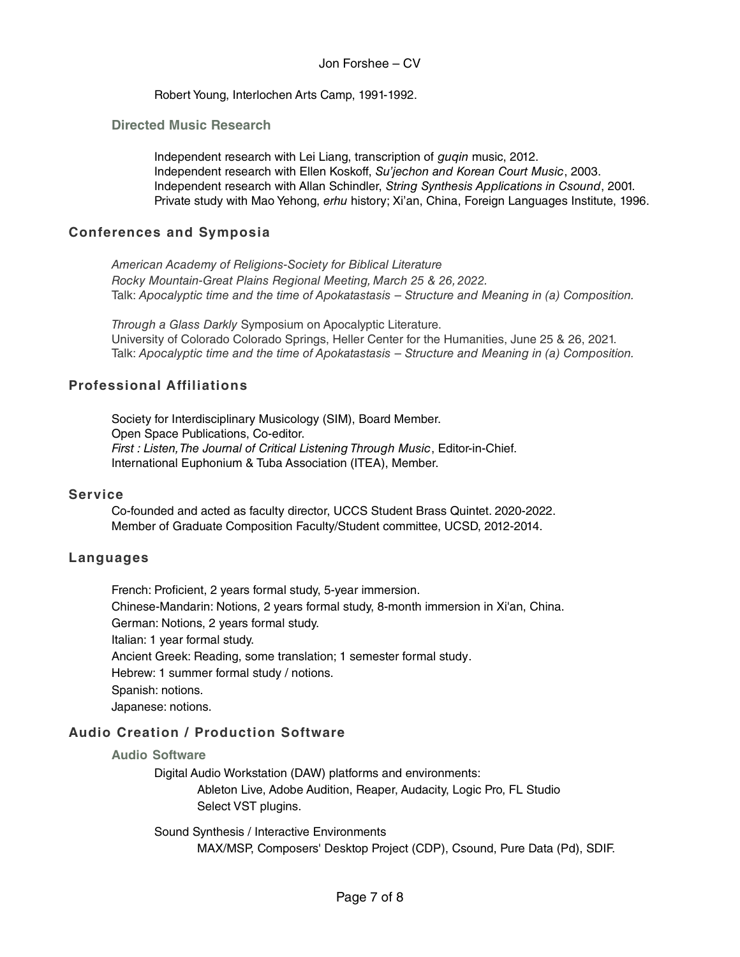Robert Young, Interlochen Arts Camp, 1991-1992.

### **Directed Music Research**

Independent research with Lei Liang, transcription of guqin music, 2012. Independent research with Ellen Koskoff, Su'jechon and Korean Court Music, 2003. Independent research with Allan Schindler, String Synthesis Applications in Csound, 2001. Private study with Mao Yehong, erhu history; Xi'an, China, Foreign Languages Institute, 1996.

## **Conferences and Symposia**

American Academy of Religions-Society for Biblical Literature Rocky Mountain-Great Plains Regional Meeting, March 25 & 26, 2022. Talk: Apocalyptic time and the time of Apokatastasis – Structure and Meaning in (a) Composition.

Through a Glass Darkly Symposium on Apocalyptic Literature. University of Colorado Colorado Springs, Heller Center for the Humanities, June 25 & 26, 2021. Talk: Apocalyptic time and the time of Apokatastasis – Structure and Meaning in (a) Composition.

## **Professional Affiliations**

Society for Interdisciplinary Musicology (SIM), Board Member. Open Space Publications, Co-editor. First : Listen, The Journal of Critical Listening Through Music, Editor-in-Chief. International Euphonium & Tuba Association (ITEA), Member.

### **Service**

Co-founded and acted as faculty director, UCCS Student Brass Quintet. 2020-2022. Member of Graduate Composition Faculty/Student committee, UCSD, 2012-2014.

### **Languages**

French: Proficient, 2 years formal study, 5-year immersion. Chinese-Mandarin: Notions, 2 years formal study, 8-month immersion in Xi'an, China. German: Notions, 2 years formal study. Italian: 1 year formal study. Ancient Greek: Reading, some translation; 1 semester formal study. Hebrew: 1 summer formal study / notions. Spanish: notions. Japanese: notions.

# **Audio Creation / Production Software**

#### **Audio Software**

Digital Audio Workstation (DAW) platforms and environments:

Ableton Live, Adobe Audition, Reaper, Audacity, Logic Pro, FL Studio Select VST plugins.

Sound Synthesis / Interactive Environments MAX/MSP, Composers' Desktop Project (CDP), Csound, Pure Data (Pd), SDIF.